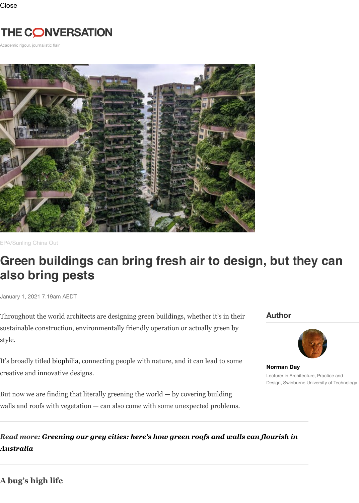

EPA/Sunling China Out

# **Green buildings can bring fresh air to design, but they can also bring pests**

January 1, 2021 7.19am AEDT

Throughout the world architects are designing green buildings, whether it's in their sustainable construction, environmentally friendly operation or actually green by style.

It's broadly titled biophilia, connecting people with nature, and it can lead to some creative and innovative designs.

But now we are finding that literally greening the world — by covering building walls and roofs with vegetation — can also come with some unexpected problems.

## *Read more: Greening our grey cities: here's how green roofs and walls can fl[ourish in](https://theconversation.com/profiles/norman-day-228477) Australia*

**A bug's high life**

#### **Author**



**Norman Day** Lecturer in Architecture Design, Swinburne Univ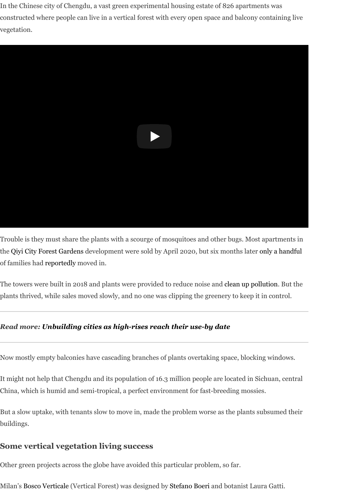

Trouble is they must share the plants with a scourge of mosquitoes and other bugs. Most apartments in the Qiyi City Forest Gardens development were sold by April 2020, but six months later only a handful of families had reportedly moved in.

The towers were built in 2018 and plants were provided to reduce noise and clean up pollution. But the plants thrived, while sales moved slowly, and no one was clipping the greenery to keep it in control.

#### *Read more: Unbuilding cities as high-rises reach their use-by date*

Now mostly e[mpty balcon](https://newsinfo.inquirer.net/1335843/plants-bugs-seize-china-apartments)ies have cascading branches of plants overtaking space, blocking windows.

It might not help that Chengdu and its population of 16.3 million people are [located in Sichuan](https://www.globaltimes.cn/content/1031741.shtml), central China, which is humid and semi-tropical, a perfect environment for fast-breeding mossies.

But a slow uptake, with tenants slow to move in, made the problem worse as the plants subsumed their buildings.

#### **Some vertical vegetation living success**

Other green projects across the globe have avoided this particular problem, so far.

Milan's Bosco Verticale (Vertical Forest) was designed by Stefano Boeri and botanist Laura Gatti.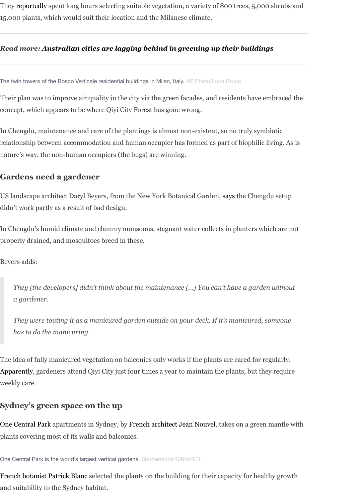Thei[r plan was t](https://www.stefanoboeriarchitetti.net/en/project/vertical-forest/)o improve air quality in the city via the green facades, and residents have embraced the concept, which appears to be where Qiyi City Forest has gone wrong.

In Chengdu, maintenance and care of the plantings is almost non-existent, so no truly symbiotic relationship b[etween accommodation and human occupier has formed as part of biophilic livi](https://theconversation.com/australian-cities-are-lagging-behind-in-greening-up-their-buildings-97088)ng. As is nature's way, the non-human occupiers (the bugs) are winning.

### **Gardens need a gardener**

US landscape architect Daryl Beyers, from the New York Botanical Garden, says the Chengdu setup didn't work partly as a result of bad design.

In Chengdu's humid climate and clammy monsoons, stagnant water collects in planters which are not properly drained, and mosquitoes breed in these.

Beyers adds:

*They [the developers] didn't think about the maintenance […] You can['t hav](https://archive.curbed.com/2020/9/18/21445069/qiyi-city-forest-garden-mosquitoes-chengdu)e a garden without a gardener.*

*They were touting it as a manicured garden outside on your deck. If it's manicured, someone has to do the manicuring.*

The idea of fully manicured vegetation on balconies only works if the plants are cared for regularly. Apparently, gardeners attend Qiyi City just four times a year to maintain the plants, but they require weekly care.

## **Sydney's green space on the up**

One Central Park apartments in Sydney, by French architect Jean Nouvel, takes on a green mantle with plants covering most of its walls and balconies.

One Central Park is the world's largest vertical gardens. Shutterstock/SAKARET

French botanist Patrick Blanc selected the plants on the building for their capacity for healthy growth and suitability to the Sydney habitat.